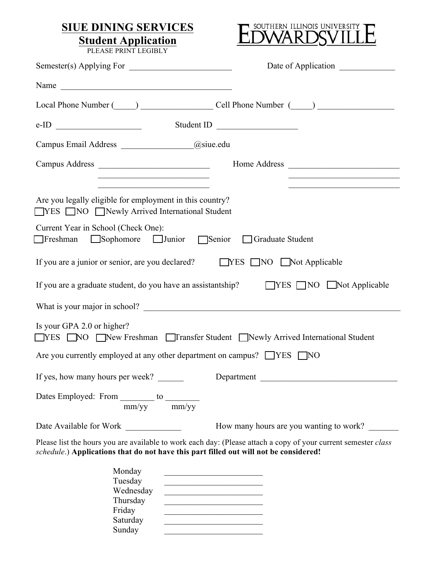## **SIUE DINING SERVICES Student Application**



PLEASE PRINT LEGIBLY

|                                                                                                                                                                                                                                                                                                                                                                                                                                                | Date of Application                                                                                                  |  |
|------------------------------------------------------------------------------------------------------------------------------------------------------------------------------------------------------------------------------------------------------------------------------------------------------------------------------------------------------------------------------------------------------------------------------------------------|----------------------------------------------------------------------------------------------------------------------|--|
| Name                                                                                                                                                                                                                                                                                                                                                                                                                                           |                                                                                                                      |  |
| Local Phone Number (Call Phone Number (Call Phone Number (Call Phone Number (Call Phone Number (Call Phone Number (Call Phone Number (Call Phone Number (Call Phone Number (Call Phone Number (Call Phone Number (Call Phone N                                                                                                                                                                                                                 |                                                                                                                      |  |
| $e-ID$ Student ID                                                                                                                                                                                                                                                                                                                                                                                                                              |                                                                                                                      |  |
| Campus Email Address _______________@siue.edu                                                                                                                                                                                                                                                                                                                                                                                                  |                                                                                                                      |  |
|                                                                                                                                                                                                                                                                                                                                                                                                                                                |                                                                                                                      |  |
| <u> 1989 - Johann John Stoff, mars eta bainar eta baina eta erromania eta baina eta baina eta baina eta baina eta</u>                                                                                                                                                                                                                                                                                                                          | <u> 1989 - Johann John Stone, markin film ar yn y brenin y brenin y brenin y brenin y brenin y brenin y brenin y</u> |  |
| Are you legally eligible for employment in this country?<br><b>THES TIME THE NEW ARE INCORPORTER THE STATE INCORPORT</b>                                                                                                                                                                                                                                                                                                                       |                                                                                                                      |  |
| Current Year in School (Check One):<br>Freshman Sophomore Junior Senior Graduate Student                                                                                                                                                                                                                                                                                                                                                       |                                                                                                                      |  |
| If you are a junior or senior, are you declared? TYES NO Not Applicable                                                                                                                                                                                                                                                                                                                                                                        |                                                                                                                      |  |
| If you are a graduate student, do you have an assistantship? TYES NO Not Applicable                                                                                                                                                                                                                                                                                                                                                            |                                                                                                                      |  |
|                                                                                                                                                                                                                                                                                                                                                                                                                                                |                                                                                                                      |  |
| Is your GPA 2.0 or higher?<br>NES NO New Freshman I Transfer Student Newly Arrived International Student                                                                                                                                                                                                                                                                                                                                       |                                                                                                                      |  |
| Are you currently employed at any other department on campus? $\Box$ YES $\Box$ NO                                                                                                                                                                                                                                                                                                                                                             |                                                                                                                      |  |
| If yes, how many hours per week? _______                                                                                                                                                                                                                                                                                                                                                                                                       | Department                                                                                                           |  |
| Dates Employed: From $\frac{1}{mm/yy}$ to $\frac{1}{mm/yy}$                                                                                                                                                                                                                                                                                                                                                                                    |                                                                                                                      |  |
|                                                                                                                                                                                                                                                                                                                                                                                                                                                | How many hours are you wanting to work?                                                                              |  |
| Please list the hours you are available to work each day: (Please attach a copy of your current semester class<br>schedule.) Applications that do not have this part filled out will not be considered!                                                                                                                                                                                                                                        |                                                                                                                      |  |
| Monday<br><u> 1989 - Johann John Harry Harry Harry Harry Harry Harry Harry Harry Harry Harry Harry Harry Harry Harry Harry H</u><br>Tuesday<br>the control of the control of the control of the control of the control of<br>Wednesday<br>Thursday<br>the control of the control of the control of the control of the control of<br>Friday<br>the control of the control of the control of the control of the control of<br>Saturday<br>Sunday |                                                                                                                      |  |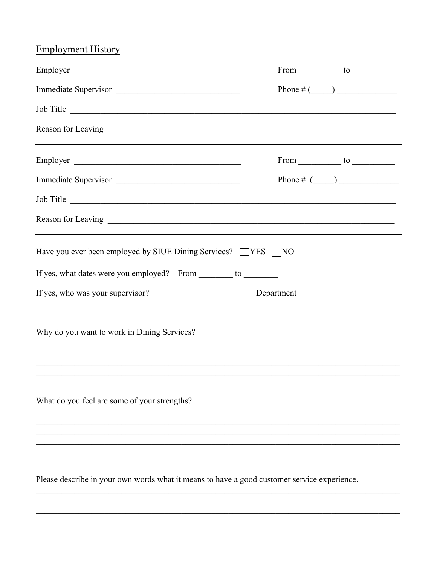## **Employment History**

| Employer                                                                                                                                                              |  | From $\_\_\_\_$ to $\_\_\_\_\_\_\_$ |  |
|-----------------------------------------------------------------------------------------------------------------------------------------------------------------------|--|-------------------------------------|--|
| Immediate Supervisor                                                                                                                                                  |  |                                     |  |
| Job Title                                                                                                                                                             |  |                                     |  |
|                                                                                                                                                                       |  |                                     |  |
| Employer                                                                                                                                                              |  | From $\_\_$ to $\_\_$               |  |
| Immediate Supervisor                                                                                                                                                  |  | Phone # $(\_\_\_\_\_\$              |  |
| Job Title                                                                                                                                                             |  |                                     |  |
|                                                                                                                                                                       |  |                                     |  |
| Have you ever been employed by SIUE Dining Services? TYES TNO                                                                                                         |  |                                     |  |
| If yes, what dates were you employed? From _________ to _________                                                                                                     |  |                                     |  |
|                                                                                                                                                                       |  |                                     |  |
|                                                                                                                                                                       |  |                                     |  |
| Why do you want to work in Dining Services?                                                                                                                           |  |                                     |  |
| ,我们也不能在这里的人,我们也不能在这里的人,我们也不能在这里的人,我们也不能在这里的人,我们也不能在这里的人,我们也不能在这里的人,我们也不能在这里的人,我们也<br>,我们也不能在这里的时候,我们也不能在这里的时候,我们也不能在这里的时候,我们也不能会不能在这里的时候,我们也不能会不能会不能会不能会不能会不能会不能会不能会不 |  |                                     |  |
| ,我们也不能在这里的时候,我们也不能在这里的时候,我们也不能不能不能不能不能不能不能不能不能不能不能不能不能不能不能。""我们的是我们的,我们也不能不能不能不能                                                                                      |  |                                     |  |
| What do you feel are some of your strengths?                                                                                                                          |  |                                     |  |
|                                                                                                                                                                       |  |                                     |  |
|                                                                                                                                                                       |  |                                     |  |
|                                                                                                                                                                       |  |                                     |  |
| Please describe in your own words what it means to have a good customer service experience.                                                                           |  |                                     |  |

<u> 1989 - Johann Stoff, amerikansk politiker (d. 1989)</u>